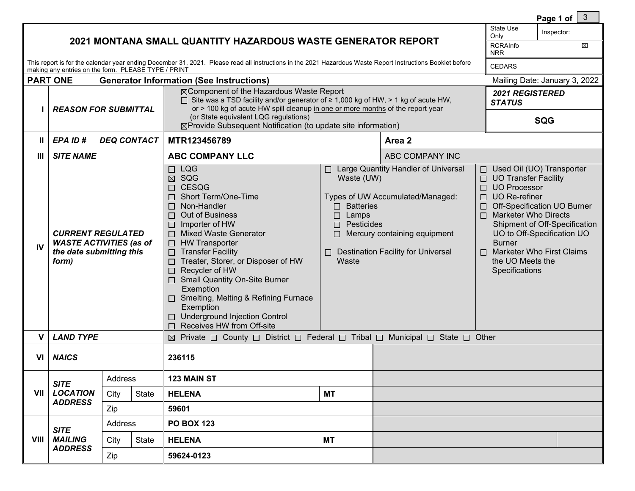|                |                                                                                                                                                                                                                   | $\mathbf{3}$<br>Page 1 of $\vert$                                     |                    |                                                                                                                                                                                                                                                                                                                                                                                                                                                                                 |                                                                                         |                                                                                                                                                                                                                                                                                                                                                                                                                                                                                        |                                                       |  |
|----------------|-------------------------------------------------------------------------------------------------------------------------------------------------------------------------------------------------------------------|-----------------------------------------------------------------------|--------------------|---------------------------------------------------------------------------------------------------------------------------------------------------------------------------------------------------------------------------------------------------------------------------------------------------------------------------------------------------------------------------------------------------------------------------------------------------------------------------------|-----------------------------------------------------------------------------------------|----------------------------------------------------------------------------------------------------------------------------------------------------------------------------------------------------------------------------------------------------------------------------------------------------------------------------------------------------------------------------------------------------------------------------------------------------------------------------------------|-------------------------------------------------------|--|
|                | 2021 MONTANA SMALL QUANTITY HAZARDOUS WASTE GENERATOR REPORT                                                                                                                                                      | State Use<br>Inspector:<br>Only<br><b>RCRAInfo</b><br>図<br><b>NRR</b> |                    |                                                                                                                                                                                                                                                                                                                                                                                                                                                                                 |                                                                                         |                                                                                                                                                                                                                                                                                                                                                                                                                                                                                        |                                                       |  |
|                | This report is for the calendar year ending December 31, 2021. Please read all instructions in the 2021 Hazardous Waste Report Instructions Booklet before<br>making any entries on the form. PLEASE TYPE / PRINT | <b>CEDARS</b>                                                         |                    |                                                                                                                                                                                                                                                                                                                                                                                                                                                                                 |                                                                                         |                                                                                                                                                                                                                                                                                                                                                                                                                                                                                        |                                                       |  |
|                | <b>PART ONE</b>                                                                                                                                                                                                   | Mailing Date: January 3, 2022                                         |                    |                                                                                                                                                                                                                                                                                                                                                                                                                                                                                 |                                                                                         |                                                                                                                                                                                                                                                                                                                                                                                                                                                                                        |                                                       |  |
|                | <b>REASON FOR SUBMITTAL</b>                                                                                                                                                                                       |                                                                       |                    | <b>Generator Information (See Instructions)</b><br>⊠Component of the Hazardous Waste Report<br>$\Box$ Site was a TSD facility and/or generator of $\geq 1,000$ kg of HW, > 1 kg of acute HW,<br>or > 100 kg of acute HW spill cleanup in one or more months of the report year<br>(or State equivalent LQG regulations)<br>⊠Provide Subsequent Notification (to update site information)                                                                                        |                                                                                         |                                                                                                                                                                                                                                                                                                                                                                                                                                                                                        | <b>2021 REGISTERED</b><br><b>STATUS</b><br><b>SQG</b> |  |
| $\mathbf{I}$   | EPA ID#                                                                                                                                                                                                           |                                                                       | <b>DEQ CONTACT</b> | MTR123456789                                                                                                                                                                                                                                                                                                                                                                                                                                                                    |                                                                                         | Area 2                                                                                                                                                                                                                                                                                                                                                                                                                                                                                 |                                                       |  |
| $\mathbf{III}$ | <b>SITE NAME</b>                                                                                                                                                                                                  |                                                                       |                    | <b>ABC COMPANY LLC</b>                                                                                                                                                                                                                                                                                                                                                                                                                                                          |                                                                                         |                                                                                                                                                                                                                                                                                                                                                                                                                                                                                        |                                                       |  |
| IV             | <b>CURRENT REGULATED</b><br><b>WASTE ACTIVITIES (as of</b><br>the date submitting this<br>form)                                                                                                                   |                                                                       |                    | $\Box$ LQG<br>$\boxtimes$ SQG<br>□ CESQG<br>Short Term/One-Time<br>Non-Handler<br>П<br>Out of Business<br>П<br>Importer of HW<br>$\Box$<br>□ Mixed Waste Generator<br>$\Box$ HW Transporter<br>$\Box$ Transfer Facility<br>Treater, Storer, or Disposer of HW<br>$\Box$<br>Recycler of HW<br>$\Box$<br>□ Small Quantity On-Site Burner<br>Exemption<br>□ Smelting, Melting & Refining Furnace<br>Exemption<br>□ Underground Injection Control<br>Receives HW from Off-site<br>П | Waste (UW)<br>$\Box$ Batteries<br>$\Box$ Lamps<br>$\Box$ Pesticides<br>П.<br>ப<br>Waste | □ Large Quantity Handler of Universal<br>□ Used Oil (UO) Transporter<br>$\Box$ UO Transfer Facility<br>□ UO Processor<br>Types of UW Accumulated/Managed:<br>$\Box$ UO Re-refiner<br>Off-Specification UO Burner<br>$\Box$ Marketer Who Directs<br>Shipment of Off-Specification<br>Mercury containing equipment<br>UO to Off-Specification UO<br><b>Burner</b><br><b>Destination Facility for Universal</b><br>$\Box$ Marketer Who First Claims<br>the UO Meets the<br>Specifications |                                                       |  |
| V              | <b>LAND TYPE</b>                                                                                                                                                                                                  |                                                                       |                    | $\boxtimes$ Private $\Box$ County $\Box$ District $\Box$ Federal $\Box$ Tribal $\Box$ Municipal $\Box$ State $\Box$ Other                                                                                                                                                                                                                                                                                                                                                       |                                                                                         |                                                                                                                                                                                                                                                                                                                                                                                                                                                                                        |                                                       |  |
| VI             | <b>NAICS</b>                                                                                                                                                                                                      |                                                                       |                    | 236115                                                                                                                                                                                                                                                                                                                                                                                                                                                                          |                                                                                         |                                                                                                                                                                                                                                                                                                                                                                                                                                                                                        |                                                       |  |
|                | <b>SITE</b><br><b>LOCATION</b><br><b>ADDRESS</b>                                                                                                                                                                  | Address                                                               |                    | 123 MAIN ST                                                                                                                                                                                                                                                                                                                                                                                                                                                                     |                                                                                         |                                                                                                                                                                                                                                                                                                                                                                                                                                                                                        |                                                       |  |
| VII            |                                                                                                                                                                                                                   | City                                                                  | State              | <b>HELENA</b>                                                                                                                                                                                                                                                                                                                                                                                                                                                                   | <b>MT</b>                                                                               |                                                                                                                                                                                                                                                                                                                                                                                                                                                                                        |                                                       |  |
|                |                                                                                                                                                                                                                   | Zip                                                                   |                    | 59601                                                                                                                                                                                                                                                                                                                                                                                                                                                                           |                                                                                         |                                                                                                                                                                                                                                                                                                                                                                                                                                                                                        |                                                       |  |
|                | <b>SITE</b>                                                                                                                                                                                                       | Address                                                               |                    | <b>PO BOX 123</b>                                                                                                                                                                                                                                                                                                                                                                                                                                                               |                                                                                         |                                                                                                                                                                                                                                                                                                                                                                                                                                                                                        |                                                       |  |
| VIII           | <b>MAILING</b><br><b>ADDRESS</b>                                                                                                                                                                                  | City                                                                  | <b>State</b>       | <b>HELENA</b>                                                                                                                                                                                                                                                                                                                                                                                                                                                                   | <b>MT</b>                                                                               |                                                                                                                                                                                                                                                                                                                                                                                                                                                                                        |                                                       |  |
|                |                                                                                                                                                                                                                   | Zip                                                                   |                    |                                                                                                                                                                                                                                                                                                                                                                                                                                                                                 | 59624-0123                                                                              |                                                                                                                                                                                                                                                                                                                                                                                                                                                                                        |                                                       |  |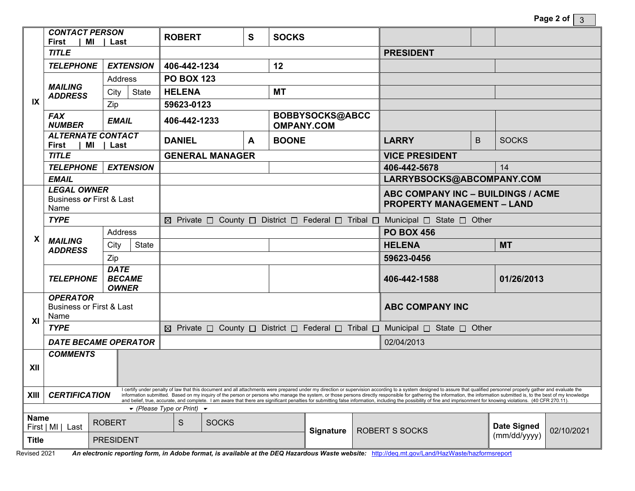| Page 2 of $\vert$ 3 |  |
|---------------------|--|
|---------------------|--|

|                                                                                                                                                                                                                                                                                               | <b>CONTACT PERSON</b><br><b>First</b><br>MI                                                                                                                                                                                                                                                                                                                                                                                                                                   |               | Last             |                                    | <b>ROBERT</b>                                                                                                             |              | S | <b>SOCKS</b>       |                                                                         |                        |                            |                    |            |  |
|-----------------------------------------------------------------------------------------------------------------------------------------------------------------------------------------------------------------------------------------------------------------------------------------------|-------------------------------------------------------------------------------------------------------------------------------------------------------------------------------------------------------------------------------------------------------------------------------------------------------------------------------------------------------------------------------------------------------------------------------------------------------------------------------|---------------|------------------|------------------------------------|---------------------------------------------------------------------------------------------------------------------------|--------------|---|--------------------|-------------------------------------------------------------------------|------------------------|----------------------------|--------------------|------------|--|
|                                                                                                                                                                                                                                                                                               | <b>TITLE</b>                                                                                                                                                                                                                                                                                                                                                                                                                                                                  |               |                  |                                    |                                                                                                                           |              |   |                    |                                                                         |                        | <b>PRESIDENT</b>           |                    |            |  |
| IX                                                                                                                                                                                                                                                                                            | <b>TELEPHONE</b><br><b>EXTENSION</b>                                                                                                                                                                                                                                                                                                                                                                                                                                          |               |                  | 406-442-1234<br>12                 |                                                                                                                           |              |   |                    |                                                                         |                        |                            |                    |            |  |
|                                                                                                                                                                                                                                                                                               |                                                                                                                                                                                                                                                                                                                                                                                                                                                                               |               | <b>Address</b>   |                                    | <b>PO BOX 123</b>                                                                                                         |              |   |                    |                                                                         |                        |                            |                    |            |  |
|                                                                                                                                                                                                                                                                                               | <b>MAILING</b><br><b>ADDRESS</b>                                                                                                                                                                                                                                                                                                                                                                                                                                              | City          | State            |                                    | <b>HELENA</b>                                                                                                             |              |   | <b>MT</b>          |                                                                         |                        |                            |                    |            |  |
|                                                                                                                                                                                                                                                                                               |                                                                                                                                                                                                                                                                                                                                                                                                                                                                               | Zip           |                  |                                    | 59623-0123                                                                                                                |              |   |                    |                                                                         |                        |                            |                    |            |  |
|                                                                                                                                                                                                                                                                                               | <b>FAX</b><br><b>NUMBER</b>                                                                                                                                                                                                                                                                                                                                                                                                                                                   |               | <b>EMAIL</b>     |                                    |                                                                                                                           | 406-442-1233 |   | <b>OMPANY.COM</b>  | BOBBYSOCKS@ABCC                                                         |                        |                            |                    |            |  |
|                                                                                                                                                                                                                                                                                               | <b>ALTERNATE CONTACT</b><br><b>First</b><br>MI<br>l Last                                                                                                                                                                                                                                                                                                                                                                                                                      |               |                  | <b>BOONE</b><br><b>DANIEL</b><br>A |                                                                                                                           |              |   | <b>LARRY</b><br>B. |                                                                         | <b>SOCKS</b>           |                            |                    |            |  |
|                                                                                                                                                                                                                                                                                               | <b>TITLE</b>                                                                                                                                                                                                                                                                                                                                                                                                                                                                  |               |                  |                                    | <b>GENERAL MANAGER</b>                                                                                                    |              |   |                    | <b>VICE PRESIDENT</b>                                                   |                        |                            |                    |            |  |
|                                                                                                                                                                                                                                                                                               | <b>TELEPHONE</b><br><b>EXTENSION</b>                                                                                                                                                                                                                                                                                                                                                                                                                                          |               |                  |                                    |                                                                                                                           |              |   |                    | 14<br>406-442-5678                                                      |                        |                            |                    |            |  |
|                                                                                                                                                                                                                                                                                               | <b>EMAIL</b>                                                                                                                                                                                                                                                                                                                                                                                                                                                                  |               |                  |                                    |                                                                                                                           |              |   |                    | LARRYBSOCKS@ABCOMPANY.COM                                               |                        |                            |                    |            |  |
|                                                                                                                                                                                                                                                                                               | <b>LEGAL OWNER</b><br>Business or First & Last<br>Name                                                                                                                                                                                                                                                                                                                                                                                                                        |               |                  |                                    |                                                                                                                           |              |   |                    | ABC COMPANY INC - BUILDINGS / ACME<br><b>PROPERTY MANAGEMENT - LAND</b> |                        |                            |                    |            |  |
| X                                                                                                                                                                                                                                                                                             | <b>TYPE</b>                                                                                                                                                                                                                                                                                                                                                                                                                                                                   |               |                  |                                    | $\boxtimes$ Private $\Box$ County $\Box$ District $\Box$ Federal $\Box$ Tribal $\Box$ Municipal $\Box$ State $\Box$ Other |              |   |                    |                                                                         |                        |                            |                    |            |  |
|                                                                                                                                                                                                                                                                                               |                                                                                                                                                                                                                                                                                                                                                                                                                                                                               |               | Address          |                                    |                                                                                                                           |              |   |                    | <b>PO BOX 456</b>                                                       |                        |                            |                    |            |  |
|                                                                                                                                                                                                                                                                                               | <b>MAILING</b><br><b>ADDRESS</b>                                                                                                                                                                                                                                                                                                                                                                                                                                              | City          |                  | State                              |                                                                                                                           |              |   |                    |                                                                         |                        | <b>HELENA</b><br><b>MT</b> |                    |            |  |
|                                                                                                                                                                                                                                                                                               |                                                                                                                                                                                                                                                                                                                                                                                                                                                                               | Zip           |                  |                                    |                                                                                                                           |              |   |                    |                                                                         |                        | 59623-0456                 |                    |            |  |
|                                                                                                                                                                                                                                                                                               | <b>DATE</b><br><b>BECAME</b><br><b>TELEPHONE</b><br><b>OWNER</b>                                                                                                                                                                                                                                                                                                                                                                                                              |               |                  |                                    |                                                                                                                           |              |   |                    |                                                                         | 406-442-1588           |                            | 01/26/2013         |            |  |
|                                                                                                                                                                                                                                                                                               | <b>OPERATOR</b><br><b>Business or First &amp; Last</b><br>Name                                                                                                                                                                                                                                                                                                                                                                                                                |               |                  |                                    |                                                                                                                           |              |   |                    |                                                                         | <b>ABC COMPANY INC</b> |                            |                    |            |  |
| XI                                                                                                                                                                                                                                                                                            | <b>TYPE</b>                                                                                                                                                                                                                                                                                                                                                                                                                                                                   |               |                  |                                    | $\boxtimes$ Private $\Box$ County $\Box$ District $\Box$ Federal $\Box$ Tribal $\Box$ Municipal $\Box$ State $\Box$ Other |              |   |                    |                                                                         |                        |                            |                    |            |  |
|                                                                                                                                                                                                                                                                                               | <b>DATE BECAME OPERATOR</b>                                                                                                                                                                                                                                                                                                                                                                                                                                                   |               |                  |                                    |                                                                                                                           |              |   |                    |                                                                         |                        | 02/04/2013                 |                    |            |  |
| XII                                                                                                                                                                                                                                                                                           | <b>COMMENTS</b>                                                                                                                                                                                                                                                                                                                                                                                                                                                               |               |                  |                                    |                                                                                                                           |              |   |                    |                                                                         |                        |                            |                    |            |  |
| <b>XIII</b>                                                                                                                                                                                                                                                                                   | I certify under penalty of law that this document and all attachments were prepared under my direction or supervision according to a system designed to assure that qualified personnel properly gather and evaluate the<br><b>CERTIFICATION</b><br>information submitted. Based on my inquiry of the person or persons who manage the system, or those persons directly responsible for gathering the information, the information submitted is, to the best of my knowledge |               |                  |                                    |                                                                                                                           |              |   |                    |                                                                         |                        |                            |                    |            |  |
| and belief, true, accurate, and complete. I am aware that there are significant penalties for submitting false information, including the possibility of fine and imprisonment for knowing violations. (40 CFR 270.11).<br>$\blacktriangleright$ (Please Type or Print) $\blacktriangleright$ |                                                                                                                                                                                                                                                                                                                                                                                                                                                                               |               |                  |                                    |                                                                                                                           |              |   |                    |                                                                         |                        |                            |                    |            |  |
| Name                                                                                                                                                                                                                                                                                          | First   MI  <br>Last                                                                                                                                                                                                                                                                                                                                                                                                                                                          | <b>ROBERT</b> |                  |                                    | S                                                                                                                         | <b>SOCKS</b> |   | <b>Signature</b>   |                                                                         | <b>ROBERT S SOCKS</b>  |                            | <b>Date Signed</b> | 02/10/2021 |  |
| <b>Title</b>                                                                                                                                                                                                                                                                                  |                                                                                                                                                                                                                                                                                                                                                                                                                                                                               |               | <b>PRESIDENT</b> |                                    |                                                                                                                           |              |   |                    |                                                                         | (mm/dd/yyyy)           |                            |                    |            |  |

Revised 2021 An electronic reporting form, in Adobe format, is available at the DEQ Hazardous Waste website: <http://deq.mt.gov/Land/HazWaste/hazformsreport>